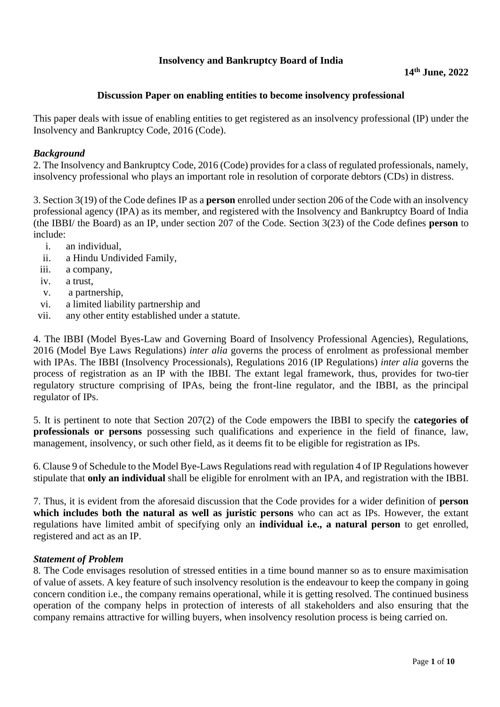# **Insolvency and Bankruptcy Board of India**

## **Discussion Paper on enabling entities to become insolvency professional**

This paper deals with issue of enabling entities to get registered as an insolvency professional (IP) under the Insolvency and Bankruptcy Code, 2016 (Code).

## *Background*

2. The Insolvency and Bankruptcy Code, 2016 (Code) provides for a class of regulated professionals, namely, insolvency professional who plays an important role in resolution of corporate debtors (CDs) in distress.

3. Section 3(19) of the Code defines IP as a **person** enrolled under section 206 of the Code with an insolvency professional agency (IPA) as its member, and registered with the Insolvency and Bankruptcy Board of India (the IBBI/ the Board) as an IP, under section 207 of the Code. Section 3(23) of the Code defines **person** to include:

- i. an individual,
- ii. a Hindu Undivided Family,
- iii. a company,
- iv. a trust,
- v. a partnership,
- vi. a limited liability partnership and
- vii. any other entity established under a statute.

4. The IBBI (Model Byes-Law and Governing Board of Insolvency Professional Agencies), Regulations, 2016 (Model Bye Laws Regulations) *inter alia* governs the process of enrolment as professional member with IPAs. The IBBI (Insolvency Processionals), Regulations 2016 (IP Regulations) *inter alia* governs the process of registration as an IP with the IBBI. The extant legal framework, thus, provides for two-tier regulatory structure comprising of IPAs, being the front-line regulator, and the IBBI, as the principal regulator of IPs.

5. It is pertinent to note that Section 207(2) of the Code empowers the IBBI to specify the **categories of professionals or persons** possessing such qualifications and experience in the field of finance, law, management, insolvency, or such other field, as it deems fit to be eligible for registration as IPs.

6. Clause 9 of Schedule to the Model Bye-Laws Regulations read with regulation 4 of IP Regulations however stipulate that **only an individual** shall be eligible for enrolment with an IPA, and registration with the IBBI.

7. Thus, it is evident from the aforesaid discussion that the Code provides for a wider definition of **person which includes both the natural as well as juristic persons** who can act as IPs. However, the extant regulations have limited ambit of specifying only an **individual i.e., a natural person** to get enrolled, registered and act as an IP.

### *Statement of Problem*

8. The Code envisages resolution of stressed entities in a time bound manner so as to ensure maximisation of value of assets. A key feature of such insolvency resolution is the endeavour to keep the company in going concern condition i.e., the company remains operational, while it is getting resolved. The continued business operation of the company helps in protection of interests of all stakeholders and also ensuring that the company remains attractive for willing buyers, when insolvency resolution process is being carried on.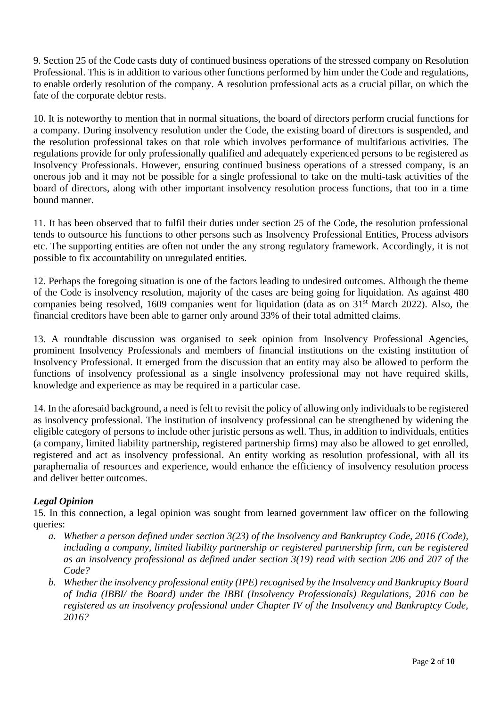9. Section 25 of the Code casts duty of continued business operations of the stressed company on Resolution Professional. This is in addition to various other functions performed by him under the Code and regulations, to enable orderly resolution of the company. A resolution professional acts as a crucial pillar, on which the fate of the corporate debtor rests.

10. It is noteworthy to mention that in normal situations, the board of directors perform crucial functions for a company. During insolvency resolution under the Code, the existing board of directors is suspended, and the resolution professional takes on that role which involves performance of multifarious activities. The regulations provide for only professionally qualified and adequately experienced persons to be registered as Insolvency Professionals. However, ensuring continued business operations of a stressed company, is an onerous job and it may not be possible for a single professional to take on the multi-task activities of the board of directors, along with other important insolvency resolution process functions, that too in a time bound manner.

11. It has been observed that to fulfil their duties under section 25 of the Code, the resolution professional tends to outsource his functions to other persons such as Insolvency Professional Entities, Process advisors etc. The supporting entities are often not under the any strong regulatory framework. Accordingly, it is not possible to fix accountability on unregulated entities.

12. Perhaps the foregoing situation is one of the factors leading to undesired outcomes. Although the theme of the Code is insolvency resolution, majority of the cases are being going for liquidation. As against 480 companies being resolved, 1609 companies went for liquidation (data as on  $31<sup>st</sup>$  March 2022). Also, the financial creditors have been able to garner only around 33% of their total admitted claims.

13. A roundtable discussion was organised to seek opinion from Insolvency Professional Agencies, prominent Insolvency Professionals and members of financial institutions on the existing institution of Insolvency Professional. It emerged from the discussion that an entity may also be allowed to perform the functions of insolvency professional as a single insolvency professional may not have required skills, knowledge and experience as may be required in a particular case.

14. In the aforesaid background, a need is felt to revisit the policy of allowing only individuals to be registered as insolvency professional. The institution of insolvency professional can be strengthened by widening the eligible category of persons to include other juristic persons as well. Thus, in addition to individuals, entities (a company, limited liability partnership, registered partnership firms) may also be allowed to get enrolled, registered and act as insolvency professional. An entity working as resolution professional, with all its paraphernalia of resources and experience, would enhance the efficiency of insolvency resolution process and deliver better outcomes.

# *Legal Opinion*

15. In this connection, a legal opinion was sought from learned government law officer on the following queries:

- *a. Whether a person defined under section 3(23) of the Insolvency and Bankruptcy Code, 2016 (Code), including a company, limited liability partnership or registered partnership firm, can be registered as an insolvency professional as defined under section 3(19) read with section 206 and 207 of the Code?*
- *b. Whether the insolvency professional entity (IPE) recognised by the Insolvency and Bankruptcy Board of India (IBBI/ the Board) under the IBBI (Insolvency Professionals) Regulations, 2016 can be registered as an insolvency professional under Chapter IV of the Insolvency and Bankruptcy Code, 2016?*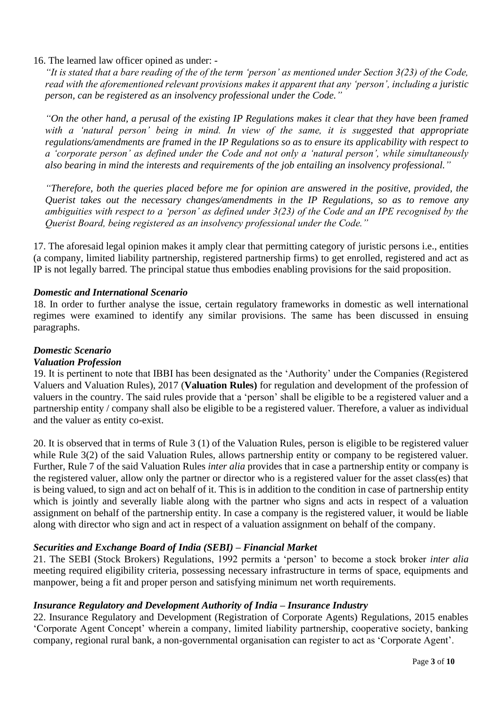# 16. The learned law officer opined as under: -

*"It is stated that a bare reading of the of the term 'person' as mentioned under Section 3(23) of the Code, read with the aforementioned relevant provisions makes it apparent that any 'person', including a juristic person, can be registered as an insolvency professional under the Code."*

*"On the other hand, a perusal of the existing IP Regulations makes it clear that they have been framed*  with a 'natural person' being in mind. In view of the same, it is suggested that appropriate *regulations/amendments are framed in the IP Regulations so as to ensure its applicability with respect to a 'corporate person' as defined under the Code and not only a 'natural person', while simultaneously also bearing in mind the interests and requirements of the job entailing an insolvency professional."*

*"Therefore, both the queries placed before me for opinion are answered in the positive, provided, the Querist takes out the necessary changes/amendments in the IP Regulations, so as to remove any ambiguities with respect to a 'person' as defined under 3(23) of the Code and an IPE recognised by the Querist Board, being registered as an insolvency professional under the Code."*

17. The aforesaid legal opinion makes it amply clear that permitting category of juristic persons i.e., entities (a company, limited liability partnership, registered partnership firms) to get enrolled, registered and act as IP is not legally barred. The principal statue thus embodies enabling provisions for the said proposition.

# *Domestic and International Scenario*

18. In order to further analyse the issue, certain regulatory frameworks in domestic as well international regimes were examined to identify any similar provisions. The same has been discussed in ensuing paragraphs.

# *Domestic Scenario*

### *Valuation Profession*

19. It is pertinent to note that IBBI has been designated as the 'Authority' under the Companies (Registered Valuers and Valuation Rules), 2017 (**Valuation Rules)** for regulation and development of the profession of valuers in the country. The said rules provide that a 'person' shall be eligible to be a registered valuer and a partnership entity / company shall also be eligible to be a registered valuer. Therefore, a valuer as individual and the valuer as entity co-exist.

20. It is observed that in terms of Rule 3 (1) of the Valuation Rules, person is eligible to be registered valuer while Rule 3(2) of the said Valuation Rules, allows partnership entity or company to be registered valuer. Further, Rule 7 of the said Valuation Rules *inter alia* provides that in case a partnership entity or company is the registered valuer, allow only the partner or director who is a registered valuer for the asset class(es) that is being valued, to sign and act on behalf of it. This is in addition to the condition in case of partnership entity which is jointly and severally liable along with the partner who signs and acts in respect of a valuation assignment on behalf of the partnership entity. In case a company is the registered valuer, it would be liable along with director who sign and act in respect of a valuation assignment on behalf of the company.

# *Securities and Exchange Board of India (SEBI) – Financial Market*

21. The SEBI (Stock Brokers) Regulations, 1992 permits a 'person' to become a stock broker *inter alia*  meeting required eligibility criteria, possessing necessary infrastructure in terms of space, equipments and manpower, being a fit and proper person and satisfying minimum net worth requirements.

### *Insurance Regulatory and Development Authority of India – Insurance Industry*

22. Insurance Regulatory and Development (Registration of Corporate Agents) Regulations, 2015 enables 'Corporate Agent Concept' wherein a company, limited liability partnership, cooperative society, banking company, regional rural bank, a non-governmental organisation can register to act as 'Corporate Agent'.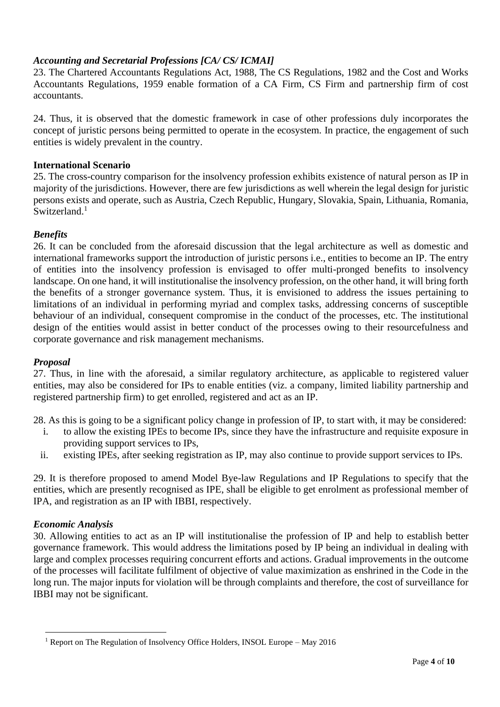# *Accounting and Secretarial Professions [CA/ CS/ ICMAI]*

23. The Chartered Accountants Regulations Act, 1988, The CS Regulations, 1982 and the Cost and Works Accountants Regulations, 1959 enable formation of a CA Firm, CS Firm and partnership firm of cost accountants.

24. Thus, it is observed that the domestic framework in case of other professions duly incorporates the concept of juristic persons being permitted to operate in the ecosystem. In practice, the engagement of such entities is widely prevalent in the country.

### **International Scenario**

25. The cross-country comparison for the insolvency profession exhibits existence of natural person as IP in majority of the jurisdictions. However, there are few jurisdictions as well wherein the legal design for juristic persons exists and operate, such as Austria, Czech Republic, Hungary, Slovakia, Spain, Lithuania, Romania, Switzerland.<sup>1</sup>

# *Benefits*

26. It can be concluded from the aforesaid discussion that the legal architecture as well as domestic and international frameworks support the introduction of juristic persons i.e., entities to become an IP. The entry of entities into the insolvency profession is envisaged to offer multi-pronged benefits to insolvency landscape. On one hand, it will institutionalise the insolvency profession, on the other hand, it will bring forth the benefits of a stronger governance system. Thus, it is envisioned to address the issues pertaining to limitations of an individual in performing myriad and complex tasks, addressing concerns of susceptible behaviour of an individual, consequent compromise in the conduct of the processes, etc. The institutional design of the entities would assist in better conduct of the processes owing to their resourcefulness and corporate governance and risk management mechanisms.

### *Proposal*

27. Thus, in line with the aforesaid, a similar regulatory architecture, as applicable to registered valuer entities, may also be considered for IPs to enable entities (viz. a company, limited liability partnership and registered partnership firm) to get enrolled, registered and act as an IP.

28. As this is going to be a significant policy change in profession of IP, to start with, it may be considered:

- i. to allow the existing IPEs to become IPs, since they have the infrastructure and requisite exposure in providing support services to IPs,
- ii. existing IPEs, after seeking registration as IP, may also continue to provide support services to IPs.

29. It is therefore proposed to amend Model Bye-law Regulations and IP Regulations to specify that the entities, which are presently recognised as IPE, shall be eligible to get enrolment as professional member of IPA, and registration as an IP with IBBI, respectively.

### *Economic Analysis*

30. Allowing entities to act as an IP will institutionalise the profession of IP and help to establish better governance framework. This would address the limitations posed by IP being an individual in dealing with large and complex processes requiring concurrent efforts and actions. Gradual improvements in the outcome of the processes will facilitate fulfilment of objective of value maximization as enshrined in the Code in the long run. The major inputs for violation will be through complaints and therefore, the cost of surveillance for IBBI may not be significant.

<sup>&</sup>lt;sup>1</sup> Report on The Regulation of Insolvency Office Holders, INSOL Europe – May 2016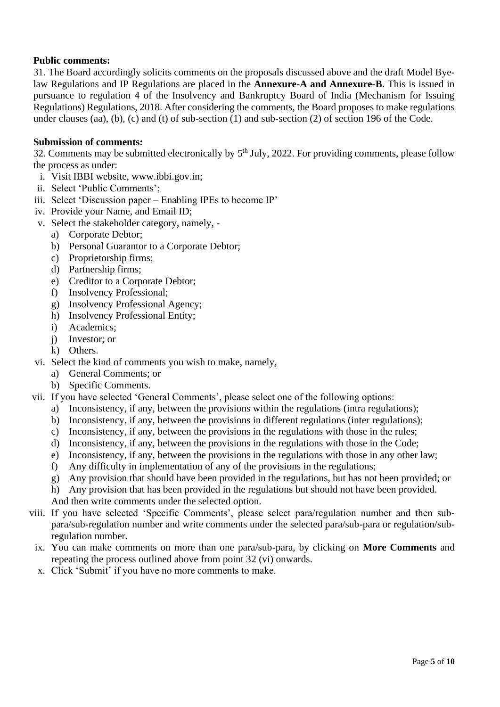# **Public comments:**

31. The Board accordingly solicits comments on the proposals discussed above and the draft Model Byelaw Regulations and IP Regulations are placed in the **Annexure-A and Annexure-B**. This is issued in pursuance to regulation 4 of the Insolvency and Bankruptcy Board of India (Mechanism for Issuing Regulations) Regulations, 2018. After considering the comments, the Board proposes to make regulations under clauses (aa), (b), (c) and (t) of sub-section (1) and sub-section (2) of section 196 of the Code.

## **Submission of comments:**

32. Comments may be submitted electronically by  $5<sup>th</sup>$  July, 2022. For providing comments, please follow the process as under:

- i. Visit IBBI website, www.ibbi.gov.in;
- ii. Select 'Public Comments';
- iii. Select 'Discussion paper Enabling IPEs to become IP'
- iv. Provide your Name, and Email ID;
- v. Select the stakeholder category, namely,
	- a) Corporate Debtor;
	- b) Personal Guarantor to a Corporate Debtor;
	- c) Proprietorship firms;
	- d) Partnership firms;
	- e) Creditor to a Corporate Debtor;
	- f) Insolvency Professional;
	- g) Insolvency Professional Agency;
	- h) Insolvency Professional Entity;
	- i) Academics;
	- j) Investor; or
	- k) Others.
- vi. Select the kind of comments you wish to make, namely,
	- a) General Comments; or
	- b) Specific Comments.
- vii. If you have selected 'General Comments', please select one of the following options:
	- a) Inconsistency, if any, between the provisions within the regulations (intra regulations);
	- b) Inconsistency, if any, between the provisions in different regulations (inter regulations);
	- c) Inconsistency, if any, between the provisions in the regulations with those in the rules;
	- d) Inconsistency, if any, between the provisions in the regulations with those in the Code;
	- e) Inconsistency, if any, between the provisions in the regulations with those in any other law;
	- f) Any difficulty in implementation of any of the provisions in the regulations;
	- g) Any provision that should have been provided in the regulations, but has not been provided; or
	- h) Any provision that has been provided in the regulations but should not have been provided.

And then write comments under the selected option.

- viii. If you have selected 'Specific Comments', please select para/regulation number and then subpara/sub-regulation number and write comments under the selected para/sub-para or regulation/subregulation number.
- ix. You can make comments on more than one para/sub-para, by clicking on **More Comments** and repeating the process outlined above from point 32 (vi) onwards.
- x. Click 'Submit' if you have no more comments to make.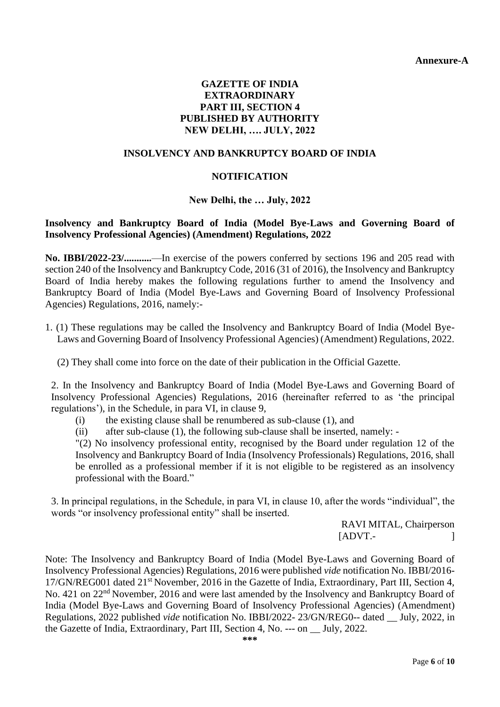**Annexure-A**

# **GAZETTE OF INDIA EXTRAORDINARY PART III, SECTION 4 PUBLISHED BY AUTHORITY NEW DELHI, …. JULY, 2022**

## **INSOLVENCY AND BANKRUPTCY BOARD OF INDIA**

# **NOTIFICATION**

# **New Delhi, the … July, 2022**

# **Insolvency and Bankruptcy Board of India (Model Bye-Laws and Governing Board of Insolvency Professional Agencies) (Amendment) Regulations, 2022**

**No. IBBI/2022-23/...........**—In exercise of the powers conferred by sections 196 and 205 read with section 240 of the Insolvency and Bankruptcy Code, 2016 (31 of 2016), the Insolvency and Bankruptcy Board of India hereby makes the following regulations further to amend the Insolvency and Bankruptcy Board of India (Model Bye-Laws and Governing Board of Insolvency Professional Agencies) Regulations, 2016, namely:-

1. (1) These regulations may be called the Insolvency and Bankruptcy Board of India (Model Bye-Laws and Governing Board of Insolvency Professional Agencies) (Amendment) Regulations, 2022.

(2) They shall come into force on the date of their publication in the Official Gazette.

2. In the Insolvency and Bankruptcy Board of India (Model Bye-Laws and Governing Board of Insolvency Professional Agencies) Regulations, 2016 (hereinafter referred to as 'the principal regulations'), in the Schedule, in para VI, in clause 9,

- (i) the existing clause shall be renumbered as sub-clause (1), and
- (ii) after sub-clause (1), the following sub-clause shall be inserted, namely: -

"(2) No insolvency professional entity, recognised by the Board under regulation 12 of the Insolvency and Bankruptcy Board of India (Insolvency Professionals) Regulations, 2016, shall be enrolled as a professional member if it is not eligible to be registered as an insolvency professional with the Board."

3. In principal regulations, in the Schedule, in para VI, in clause 10, after the words "individual", the words "or insolvency professional entity" shall be inserted.

> RAVI MITAL, Chairperson  $[ADVT. ]$

Note: The Insolvency and Bankruptcy Board of India (Model Bye-Laws and Governing Board of Insolvency Professional Agencies) Regulations, 2016 were published *vide* notification No. IBBI/2016- 17/GN/REG001 dated 21<sup>st</sup> November, 2016 in the Gazette of India, Extraordinary, Part III, Section 4, No. 421 on 22<sup>nd</sup> November, 2016 and were last amended by the Insolvency and Bankruptcy Board of India (Model Bye-Laws and Governing Board of Insolvency Professional Agencies) (Amendment) Regulations, 2022 published *vide* notification No. IBBI/2022- 23/GN/REG0-- dated \_\_ July, 2022, in the Gazette of India, Extraordinary, Part III, Section 4, No. --- on \_\_ July, 2022.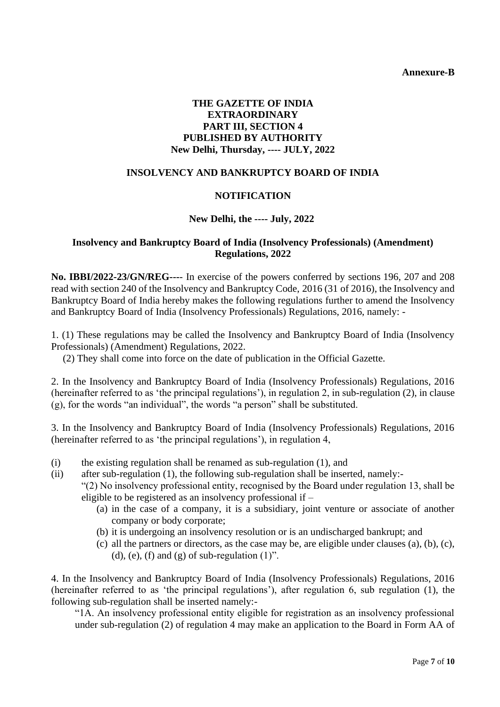**Annexure-B**

# **THE GAZETTE OF INDIA EXTRAORDINARY PART III, SECTION 4 PUBLISHED BY AUTHORITY New Delhi, Thursday, ---- JULY, 2022**

### **INSOLVENCY AND BANKRUPTCY BOARD OF INDIA**

#### **NOTIFICATION**

#### **New Delhi, the ---- July, 2022**

#### **Insolvency and Bankruptcy Board of India (Insolvency Professionals) (Amendment) Regulations, 2022**

**No. IBBI/2022-23/GN/REG---**- In exercise of the powers conferred by sections 196, 207 and 208 read with section 240 of the Insolvency and Bankruptcy Code, 2016 (31 of 2016), the Insolvency and Bankruptcy Board of India hereby makes the following regulations further to amend the Insolvency and Bankruptcy Board of India (Insolvency Professionals) Regulations, 2016, namely: -

1. (1) These regulations may be called the Insolvency and Bankruptcy Board of India (Insolvency Professionals) (Amendment) Regulations, 2022.

(2) They shall come into force on the date of publication in the Official Gazette.

2. In the Insolvency and Bankruptcy Board of India (Insolvency Professionals) Regulations, 2016 (hereinafter referred to as 'the principal regulations'), in regulation 2, in sub-regulation (2), in clause (g), for the words "an individual", the words "a person" shall be substituted.

3. In the Insolvency and Bankruptcy Board of India (Insolvency Professionals) Regulations, 2016 (hereinafter referred to as 'the principal regulations'), in regulation 4,

- (i) the existing regulation shall be renamed as sub-regulation (1), and
- (ii) after sub-regulation (1), the following sub-regulation shall be inserted, namely:-
	- "(2) No insolvency professional entity, recognised by the Board under regulation 13, shall be eligible to be registered as an insolvency professional if –
		- (a) in the case of a company, it is a subsidiary, joint venture or associate of another company or body corporate;
		- (b) it is undergoing an insolvency resolution or is an undischarged bankrupt; and
		- $(c)$  all the partners or directors, as the case may be, are eligible under clauses  $(a)$ ,  $(b)$ ,  $(c)$ , (d), (e), (f) and (g) of sub-regulation  $(1)$ ".

4. In the Insolvency and Bankruptcy Board of India (Insolvency Professionals) Regulations, 2016 (hereinafter referred to as 'the principal regulations'), after regulation 6, sub regulation (1), the following sub-regulation shall be inserted namely:-

"1A. An insolvency professional entity eligible for registration as an insolvency professional under sub-regulation (2) of regulation 4 may make an application to the Board in Form AA of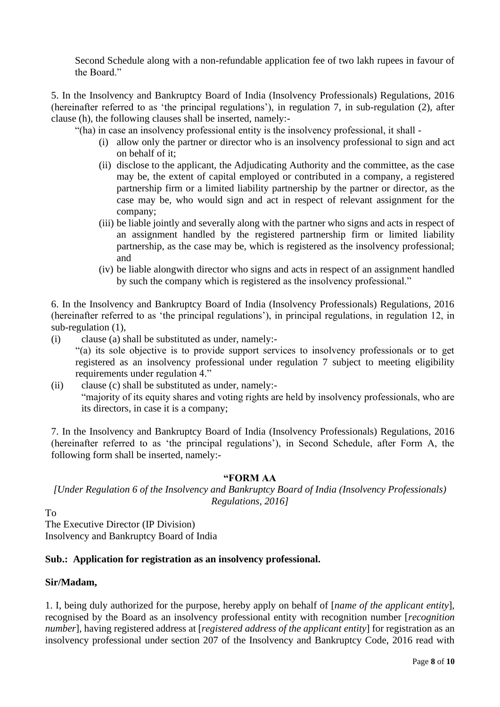Second Schedule along with a non-refundable application fee of two lakh rupees in favour of the Board."

5. In the Insolvency and Bankruptcy Board of India (Insolvency Professionals) Regulations, 2016 (hereinafter referred to as 'the principal regulations'), in regulation 7, in sub-regulation (2), after clause (h), the following clauses shall be inserted, namely:-

"(ha) in case an insolvency professional entity is the insolvency professional, it shall -

- (i) allow only the partner or director who is an insolvency professional to sign and act on behalf of it;
- (ii) disclose to the applicant, the Adjudicating Authority and the committee, as the case may be, the extent of capital employed or contributed in a company, a registered partnership firm or a limited liability partnership by the partner or director, as the case may be, who would sign and act in respect of relevant assignment for the company;
- (iii) be liable jointly and severally along with the partner who signs and acts in respect of an assignment handled by the registered partnership firm or limited liability partnership, as the case may be, which is registered as the insolvency professional; and
- (iv) be liable alongwith director who signs and acts in respect of an assignment handled by such the company which is registered as the insolvency professional."

6. In the Insolvency and Bankruptcy Board of India (Insolvency Professionals) Regulations, 2016 (hereinafter referred to as 'the principal regulations'), in principal regulations, in regulation 12, in sub-regulation (1),

(i) clause (a) shall be substituted as under, namely:-

"(a) its sole objective is to provide support services to insolvency professionals or to get registered as an insolvency professional under regulation 7 subject to meeting eligibility requirements under regulation 4."

(ii) clause (c) shall be substituted as under, namely:- "majority of its equity shares and voting rights are held by insolvency professionals, who are its directors, in case it is a company;

7. In the Insolvency and Bankruptcy Board of India (Insolvency Professionals) Regulations, 2016 (hereinafter referred to as 'the principal regulations'), in Second Schedule, after Form A, the following form shall be inserted, namely:-

#### **"FORM AA**

*[Under Regulation 6 of the Insolvency and Bankruptcy Board of India (Insolvency Professionals) Regulations, 2016]*

To

The Executive Director (IP Division) Insolvency and Bankruptcy Board of India

### **Sub.: Application for registration as an insolvency professional.**

### **Sir/Madam,**

1. I, being duly authorized for the purpose, hereby apply on behalf of [*name of the applicant entity*]*,*  recognised by the Board as an insolvency professional entity with recognition number [*recognition number*], having registered address at [*registered address of the applicant entity*] for registration as an insolvency professional under section 207 of the Insolvency and Bankruptcy Code, 2016 read with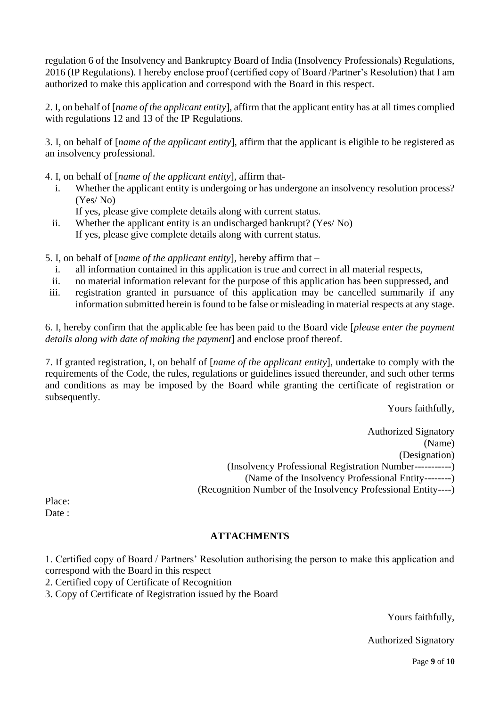regulation 6 of the Insolvency and Bankruptcy Board of India (Insolvency Professionals) Regulations, 2016 (IP Regulations). I hereby enclose proof (certified copy of Board /Partner's Resolution) that I am authorized to make this application and correspond with the Board in this respect.

2. I, on behalf of [*name of the applicant entity*], affirm that the applicant entity has at all times complied with regulations 12 and 13 of the IP Regulations.

3. I, on behalf of [*name of the applicant entity*], affirm that the applicant is eligible to be registered as an insolvency professional.

4. I, on behalf of [*name of the applicant entity*], affirm that-

i. Whether the applicant entity is undergoing or has undergone an insolvency resolution process? (Yes/ No)

If yes, please give complete details along with current status.

ii. Whether the applicant entity is an undischarged bankrupt? (Yes/ No) If yes, please give complete details along with current status.

5. I, on behalf of [*name of the applicant entity*], hereby affirm that –

- i. all information contained in this application is true and correct in all material respects,
- ii. no material information relevant for the purpose of this application has been suppressed, and
- iii. registration granted in pursuance of this application may be cancelled summarily if any information submitted herein is found to be false or misleading in material respects at any stage.

6. I, hereby confirm that the applicable fee has been paid to the Board vide [*please enter the payment details along with date of making the payment*] and enclose proof thereof.

7. If granted registration, I, on behalf of [*name of the applicant entity*], undertake to comply with the requirements of the Code, the rules, regulations or guidelines issued thereunder, and such other terms and conditions as may be imposed by the Board while granting the certificate of registration or subsequently.

Yours faithfully,

Authorized Signatory (Name) (Designation) (Insolvency Professional Registration Number-----------) (Name of the Insolvency Professional Entity--------) (Recognition Number of the Insolvency Professional Entity----)

Place: Date :

# **ATTACHMENTS**

1. Certified copy of Board / Partners' Resolution authorising the person to make this application and correspond with the Board in this respect

2. Certified copy of Certificate of Recognition

3. Copy of Certificate of Registration issued by the Board

Yours faithfully,

Authorized Signatory

Page **9** of **10**